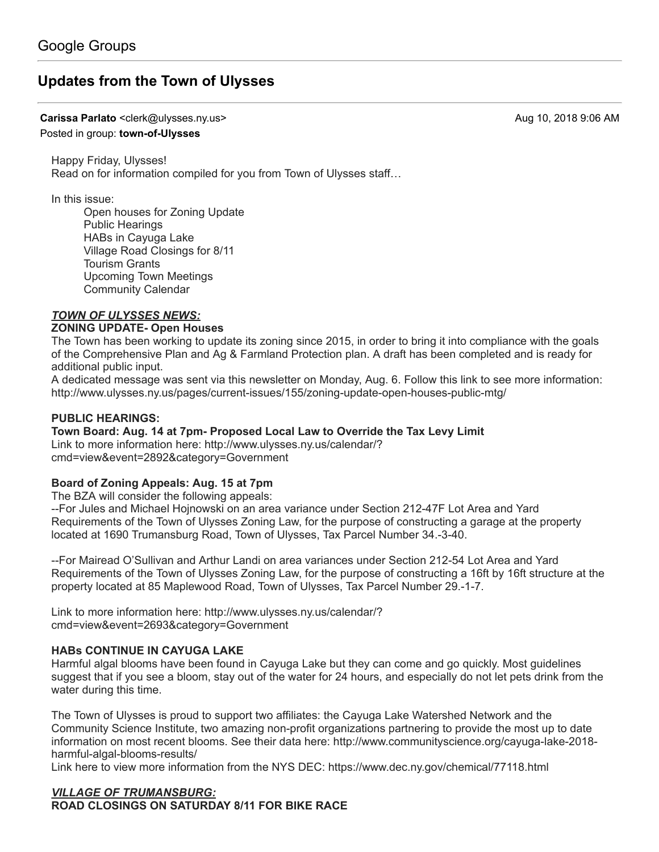# **[Updates from the Town of Ulysses](https://groups.google.com/d/topic/town-of-ulysses/RZ1E2YAn3ns)**

**Carissa Parlato** <clerk@ulysses.ny.us> Aug 10, 2018 9:06 AM

#### Posted in group: **[town-of-Ulysses](https://groups.google.com/d/forum/town-of-ulysses)**

Happy Friday, Ulysses! Read on for information compiled for you from Town of Ulysses staff…

In this issue:

Open houses for Zoning Update Public Hearings HABs in Cayuga Lake Village Road Closings for 8/11 Tourism Grants Upcoming Town Meetings Community Calendar

### *TOWN OF ULYSSES NEWS:*

#### **ZONING UPDATE- Open Houses**

The Town has been working to update its zoning since 2015, in order to bring it into compliance with the goals of the Comprehensive Plan and Ag & Farmland Protection plan. A draft has been completed and is ready for additional public input.

A dedicated message was sent via this newsletter on Monday, Aug. 6. Follow this link to see more information: <http://www.ulysses.ny.us/pages/current-issues/155/zoning-update-open-houses-public-mtg/>

### **PUBLIC HEARINGS:**

### **Town Board: Aug. 14 at 7pm- Proposed Local Law to Override the Tax Levy Limit**

[Link to more information here: http://www.ulysses.ny.us/calendar/?](http://www.ulysses.ny.us/calendar/?cmd=view&event=2892&category=Government) cmd=view&event=2892&category=Government

### **Board of Zoning Appeals: Aug. 15 at 7pm**

The BZA will consider the following appeals:

--For Jules and Michael Hojnowski on an area variance under Section 212-47F Lot Area and Yard Requirements of the Town of Ulysses Zoning Law, for the purpose of constructing a garage at the property located at 1690 Trumansburg Road, Town of Ulysses, Tax Parcel Number 34.-3-40.

--For Mairead O'Sullivan and Arthur Landi on area variances under Section 212-54 Lot Area and Yard Requirements of the Town of Ulysses Zoning Law, for the purpose of constructing a 16ft by 16ft structure at the property located at 85 Maplewood Road, Town of Ulysses, Tax Parcel Number 29.-1-7.

[Link to more information here: http://www.ulysses.ny.us/calendar/?](http://www.ulysses.ny.us/calendar/?cmd=view&event=2693&category=Government) cmd=view&event=2693&category=Government

### **HABs CONTINUE IN CAYUGA LAKE**

Harmful algal blooms have been found in Cayuga Lake but they can come and go quickly. Most guidelines suggest that if you see a bloom, stay out of the water for 24 hours, and especially do not let pets drink from the water during this time.

The Town of Ulysses is proud to support two affiliates: the Cayuga Lake Watershed Network and the Community Science Institute, two amazing non-profit organizations partnering to provide the most up to date [information on most recent blooms. See their data here: http://www.communityscience.org/cayuga-lake-2018](http://www.communityscience.org/cayuga-lake-2018-harmful-algal-blooms-results/) harmful-algal-blooms-results/

Link here to view more information from the NYS DEC: <https://www.dec.ny.gov/chemical/77118.html>

# *VILLAGE OF TRUMANSBURG:*

**ROAD CLOSINGS ON SATURDAY 8/11 FOR BIKE RACE**